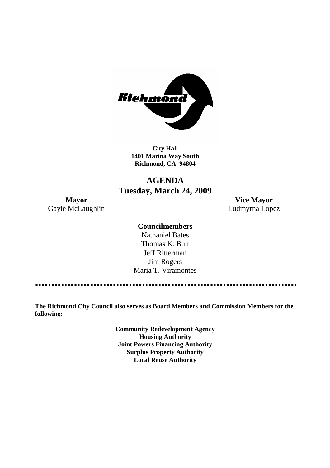

**City Hall 1401 Marina Way South Richmond, CA 94804**

# **AGENDA Tuesday, March 24, 2009**

**Mayor Vice Mayor** Gayle McLaughlin **Ludmyrna Lopez** 

### **Councilmembers**

Nathaniel Bates Thomas K. Butt Jeff Ritterman Jim Rogers Maria T. Viramontes

**The Richmond City Council also serves as Board Members and Commission Members for the following:**

> **Community Redevelopment Agency Housing Authority Joint Powers Financing Authority Surplus Property Authority Local Reuse Authority**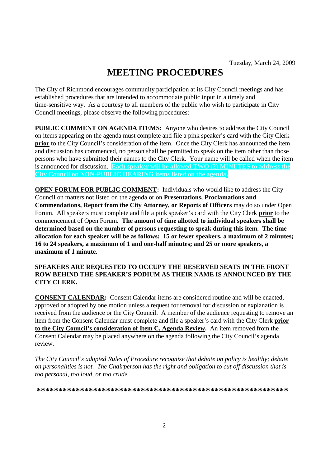# **MEETING PROCEDURES**

The City of Richmond encourages community participation at its City Council meetings and has established procedures that are intended to accommodate public input in a timely and time-sensitive way. As a courtesy to all members of the public who wish to participate in City Council meetings, please observe the following procedures:

**PUBLIC COMMENT ON AGENDA ITEMS:** Anyone who desires to address the City Council on items appearing on the agenda must complete and file a pink speaker's card with the City Clerk **prior** to the City Council's consideration of the item. Once the City Clerk has announced the item and discussion has commenced, no person shall be permitted to speak on the item other than those persons who have submitted their names to the City Clerk. Your name will be called when the item is announced for discussion. **Each speaker will be allowed TWO (2) MINUTES to address the City Council on NON-PUBLIC HEARING items listed on the agenda.**

**OPEN FORUM FOR PUBLIC COMMENT:** Individuals who would like to address the City Council on matters not listed on the agenda or on **Presentations, Proclamations and Commendations, Report from the City Attorney, or Reports of Officers** may do so under Open Forum. All speakers must complete and file a pink speaker's card with the City Clerk **prior** to the commencement of Open Forum. **The amount of time allotted to individual speakers shall be determined based on the number of persons requesting to speak during this item. The time allocation for each speaker will be as follows: 15 or fewer speakers, a maximum of 2 minutes; 16 to 24 speakers, a maximum of 1 and one-half minutes; and 25 or more speakers, a maximum of 1 minute.**

#### **SPEAKERS ARE REQUESTED TO OCCUPY THE RESERVED SEATS IN THE FRONT ROW BEHIND THE SPEAKER'S PODIUM AS THEIR NAME IS ANNOUNCED BY THE CITY CLERK.**

**CONSENT CALENDAR:** Consent Calendar items are considered routine and will be enacted, approved or adopted by one motion unless a request for removal for discussion or explanation is received from the audience or the City Council. A member of the audience requesting to remove an item from the Consent Calendar must complete and file a speaker's card with the City Clerk **prior to the City Council's consideration of Item C, Agenda Review.** An item removed from the Consent Calendar may be placed anywhere on the agenda following the City Council's agenda review.

*The City Council's adopted Rules of Procedure recognize that debate on policy is healthy; debate on personalities is not. The Chairperson has the right and obligation to cut off discussion that is too personal, too loud, or too crude.*

**\*\*\*\*\*\*\*\*\*\*\*\*\*\*\*\*\*\*\*\*\*\*\*\*\*\*\*\*\*\*\*\*\*\*\*\*\*\*\*\*\*\*\*\*\*\*\*\*\*\*\*\*\*\*\*\*\*\***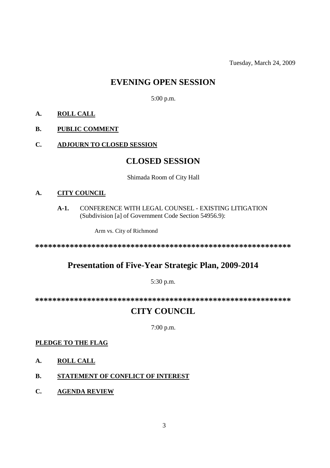Tuesday, March 24, 2009

# **EVENING OPEN SESSION**

5:00 p.m.

## **A. ROLL CALL**

### **B. PUBLIC COMMENT**

### **C. ADJOURN TO CLOSED SESSION**

# **CLOSED SESSION**

#### Shimada Room of City Hall

### **A. CITY COUNCIL**

#### **A-1.** CONFERENCE WITH LEGAL COUNSEL - EXISTING LITIGATION (Subdivision [a] of Government Code Section 54956.9):

Arm vs. City of Richmond

**\*\*\*\*\*\*\*\*\*\*\*\*\*\*\*\*\*\*\*\*\*\*\*\*\*\*\*\*\*\*\*\*\*\*\*\*\*\*\*\*\*\*\*\*\*\*\*\*\*\*\*\*\*\*\*\*\*\*\***

# **Presentation of Five-Year Strategic Plan, 2009-2014**

#### 5:30 p.m.

**\*\*\*\*\*\*\*\*\*\*\*\*\*\*\*\*\*\*\*\*\*\*\*\*\*\*\*\*\*\*\*\*\*\*\*\*\*\*\*\*\*\*\*\*\*\*\*\*\*\*\*\*\*\*\*\*\*\*\***

# **CITY COUNCIL**

7:00 p.m.

#### **PLEDGE TO THE FLAG**

- **A. ROLL CALL**
- **B. STATEMENT OF CONFLICT OF INTEREST**
- **C. AGENDA REVIEW**